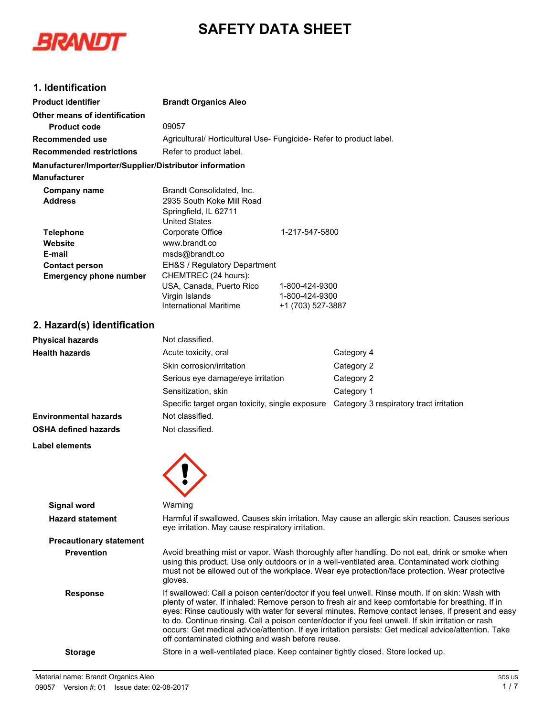# **SAFETY DATA SHEET**



# **1. Identification**

| <b>Product identifier</b>                              | <b>Brandt Organics Aleo</b>                                                                                                                                                                                                                                                                                                                                                                                       |                   |                                         |
|--------------------------------------------------------|-------------------------------------------------------------------------------------------------------------------------------------------------------------------------------------------------------------------------------------------------------------------------------------------------------------------------------------------------------------------------------------------------------------------|-------------------|-----------------------------------------|
| Other means of identification                          |                                                                                                                                                                                                                                                                                                                                                                                                                   |                   |                                         |
| <b>Product code</b>                                    | 09057                                                                                                                                                                                                                                                                                                                                                                                                             |                   |                                         |
| <b>Recommended use</b>                                 | Agricultural/ Horticultural Use- Fungicide- Refer to product label.                                                                                                                                                                                                                                                                                                                                               |                   |                                         |
| <b>Recommended restrictions</b>                        | Refer to product label.                                                                                                                                                                                                                                                                                                                                                                                           |                   |                                         |
| Manufacturer/Importer/Supplier/Distributor information |                                                                                                                                                                                                                                                                                                                                                                                                                   |                   |                                         |
| <b>Manufacturer</b>                                    |                                                                                                                                                                                                                                                                                                                                                                                                                   |                   |                                         |
| <b>Company name</b>                                    | Brandt Consolidated, Inc.                                                                                                                                                                                                                                                                                                                                                                                         |                   |                                         |
| <b>Address</b>                                         | 2935 South Koke Mill Road                                                                                                                                                                                                                                                                                                                                                                                         |                   |                                         |
|                                                        | Springfield, IL 62711<br><b>United States</b>                                                                                                                                                                                                                                                                                                                                                                     |                   |                                         |
| <b>Telephone</b>                                       | Corporate Office                                                                                                                                                                                                                                                                                                                                                                                                  | 1-217-547-5800    |                                         |
| Website                                                | www.brandt.co                                                                                                                                                                                                                                                                                                                                                                                                     |                   |                                         |
| E-mail                                                 | msds@brandt.co                                                                                                                                                                                                                                                                                                                                                                                                    |                   |                                         |
| <b>Contact person</b>                                  | EH&S / Regulatory Department                                                                                                                                                                                                                                                                                                                                                                                      |                   |                                         |
| <b>Emergency phone number</b>                          | CHEMTREC (24 hours):<br>USA, Canada, Puerto Rico                                                                                                                                                                                                                                                                                                                                                                  | 1-800-424-9300    |                                         |
|                                                        | Virgin Islands                                                                                                                                                                                                                                                                                                                                                                                                    | 1-800-424-9300    |                                         |
|                                                        | <b>International Maritime</b>                                                                                                                                                                                                                                                                                                                                                                                     | +1 (703) 527-3887 |                                         |
| 2. Hazard(s) identification                            |                                                                                                                                                                                                                                                                                                                                                                                                                   |                   |                                         |
| <b>Physical hazards</b>                                | Not classified.                                                                                                                                                                                                                                                                                                                                                                                                   |                   |                                         |
| <b>Health hazards</b>                                  | Acute toxicity, oral                                                                                                                                                                                                                                                                                                                                                                                              |                   | Category 4                              |
|                                                        | Skin corrosion/irritation                                                                                                                                                                                                                                                                                                                                                                                         |                   | Category 2                              |
|                                                        | Serious eye damage/eye irritation                                                                                                                                                                                                                                                                                                                                                                                 |                   | Category 2                              |
|                                                        | Sensitization, skin                                                                                                                                                                                                                                                                                                                                                                                               |                   | Category 1                              |
|                                                        | Specific target organ toxicity, single exposure                                                                                                                                                                                                                                                                                                                                                                   |                   | Category 3 respiratory tract irritation |
| <b>Environmental hazards</b>                           | Not classified.                                                                                                                                                                                                                                                                                                                                                                                                   |                   |                                         |
|                                                        |                                                                                                                                                                                                                                                                                                                                                                                                                   |                   |                                         |
| <b>OSHA defined hazards</b>                            | Not classified.                                                                                                                                                                                                                                                                                                                                                                                                   |                   |                                         |
| <b>Label elements</b>                                  |                                                                                                                                                                                                                                                                                                                                                                                                                   |                   |                                         |
|                                                        |                                                                                                                                                                                                                                                                                                                                                                                                                   |                   |                                         |
| <b>Signal word</b>                                     | Warning                                                                                                                                                                                                                                                                                                                                                                                                           |                   |                                         |
| <b>Hazard statement</b>                                | Harmful if swallowed. Causes skin irritation. May cause an allergic skin reaction. Causes serious<br>eye irritation. May cause respiratory irritation.                                                                                                                                                                                                                                                            |                   |                                         |
| <b>Precautionary statement</b>                         |                                                                                                                                                                                                                                                                                                                                                                                                                   |                   |                                         |
| <b>Prevention</b>                                      | Avoid breathing mist or vapor. Wash thoroughly after handling. Do not eat, drink or smoke when<br>using this product. Use only outdoors or in a well-ventilated area. Contaminated work clothing<br>must not be allowed out of the workplace. Wear eye protection/face protection. Wear protective<br>gloves.                                                                                                     |                   |                                         |
| <b>Response</b>                                        | If swallowed: Call a poison center/doctor if you feel unwell. Rinse mouth. If on skin: Wash with<br>plenty of water. If inhaled: Remove person to fresh air and keep comfortable for breathing. If in<br>eyes: Rinse cautiously with water for several minutes. Remove contact lenses, if present and easy<br>to do. Continue rinsing. Call a poison center/doctor if you feel unwell. If skin irritation or rash |                   |                                         |

to do. Continue rinsing. Call a poison center/doctor if you feel occurs: Get medical advice/attention. If eye irritation persists: Get medical advice/attention. Take off contaminated clothing and wash before reuse.

**Storage** Store in a well-ventilated place. Keep container tightly closed. Store locked up.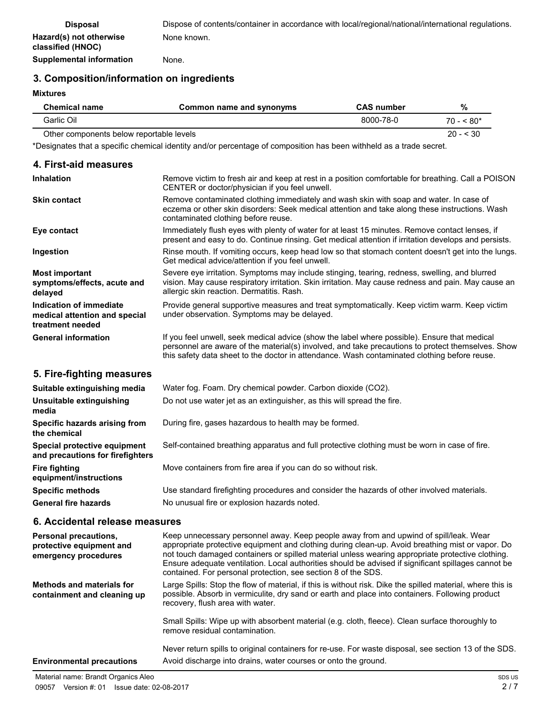# **3. Composition/information on ingredients**

**Mixtures**

 $\overline{a}$ 

| <b>Chemical name</b> | Common name and synonyms | <b>CAS number</b> | %           |
|----------------------|--------------------------|-------------------|-------------|
| Garlic Oil           |                          | 8000-78-0         | $70 - 580*$ |

Other components below reportable levels 20 - < 30

\*Designates that a specific chemical identity and/or percentage of composition has been withheld as a trade secret.

| 4. First-aid measures                                                        |                                                                                                                                                                                                                                                                                                   |
|------------------------------------------------------------------------------|---------------------------------------------------------------------------------------------------------------------------------------------------------------------------------------------------------------------------------------------------------------------------------------------------|
| <b>Inhalation</b>                                                            | Remove victim to fresh air and keep at rest in a position comfortable for breathing. Call a POISON<br>CENTER or doctor/physician if you feel unwell.                                                                                                                                              |
| <b>Skin contact</b>                                                          | Remove contaminated clothing immediately and wash skin with soap and water. In case of<br>eczema or other skin disorders: Seek medical attention and take along these instructions. Wash<br>contaminated clothing before reuse.                                                                   |
| Eye contact                                                                  | Immediately flush eyes with plenty of water for at least 15 minutes. Remove contact lenses, if<br>present and easy to do. Continue rinsing. Get medical attention if irritation develops and persists.                                                                                            |
| Ingestion                                                                    | Rinse mouth. If vomiting occurs, keep head low so that stomach content doesn't get into the lungs.<br>Get medical advice/attention if you feel unwell.                                                                                                                                            |
| <b>Most important</b><br>symptoms/effects, acute and<br>delayed              | Severe eye irritation. Symptoms may include stinging, tearing, redness, swelling, and blurred<br>vision. May cause respiratory irritation. Skin irritation. May cause redness and pain. May cause an<br>allergic skin reaction. Dermatitis. Rash.                                                 |
| Indication of immediate<br>medical attention and special<br>treatment needed | Provide general supportive measures and treat symptomatically. Keep victim warm. Keep victim<br>under observation. Symptoms may be delayed.                                                                                                                                                       |
| <b>General information</b>                                                   | If you feel unwell, seek medical advice (show the label where possible). Ensure that medical<br>personnel are aware of the material(s) involved, and take precautions to protect themselves. Show<br>this safety data sheet to the doctor in attendance. Wash contaminated clothing before reuse. |
| 5. Fire-fighting measures                                                    |                                                                                                                                                                                                                                                                                                   |
| Suitable extinguishing media                                                 | Water fog. Foam. Dry chemical powder. Carbon dioxide (CO2).                                                                                                                                                                                                                                       |
| Unsuitable extinguishing<br>media                                            | Do not use water jet as an extinguisher, as this will spread the fire.                                                                                                                                                                                                                            |
| Specific hazards arising from<br>the chemical                                | During fire, gases hazardous to health may be formed.                                                                                                                                                                                                                                             |
| Special protective equipment<br>and precautions for firefighters             | Self-contained breathing apparatus and full protective clothing must be worn in case of fire.                                                                                                                                                                                                     |
| <b>Fire fighting</b><br>equipment/instructions                               | Move containers from fire area if you can do so without risk.                                                                                                                                                                                                                                     |
| <b>Specific methods</b>                                                      | Use standard firefighting procedures and consider the hazards of other involved materials.                                                                                                                                                                                                        |
| <b>General fire hazards</b>                                                  | No unusual fire or explosion hazards noted.                                                                                                                                                                                                                                                       |
| 6. Accidental release measures                                               |                                                                                                                                                                                                                                                                                                   |

| <b>Personal precautions,</b><br>protective equipment and<br>emergency procedures | Keep unnecessary personnel away. Keep people away from and upwind of spill/leak. Wear<br>appropriate protective equipment and clothing during clean-up. Avoid breathing mist or vapor. Do<br>not touch damaged containers or spilled material unless wearing appropriate protective clothing.<br>Ensure adequate ventilation. Local authorities should be advised if significant spillages cannot be<br>contained. For personal protection, see section 8 of the SDS. |
|----------------------------------------------------------------------------------|-----------------------------------------------------------------------------------------------------------------------------------------------------------------------------------------------------------------------------------------------------------------------------------------------------------------------------------------------------------------------------------------------------------------------------------------------------------------------|
| Methods and materials for<br>containment and cleaning up                         | Large Spills: Stop the flow of material, if this is without risk. Dike the spilled material, where this is<br>possible. Absorb in vermiculite, dry sand or earth and place into containers. Following product<br>recovery, flush area with water.                                                                                                                                                                                                                     |
|                                                                                  | Small Spills: Wipe up with absorbent material (e.g. cloth, fleece). Clean surface thoroughly to<br>remove residual contamination.                                                                                                                                                                                                                                                                                                                                     |
| <b>Environmental precautions</b>                                                 | Never return spills to original containers for re-use. For waste disposal, see section 13 of the SDS.<br>Avoid discharge into drains, water courses or onto the ground.                                                                                                                                                                                                                                                                                               |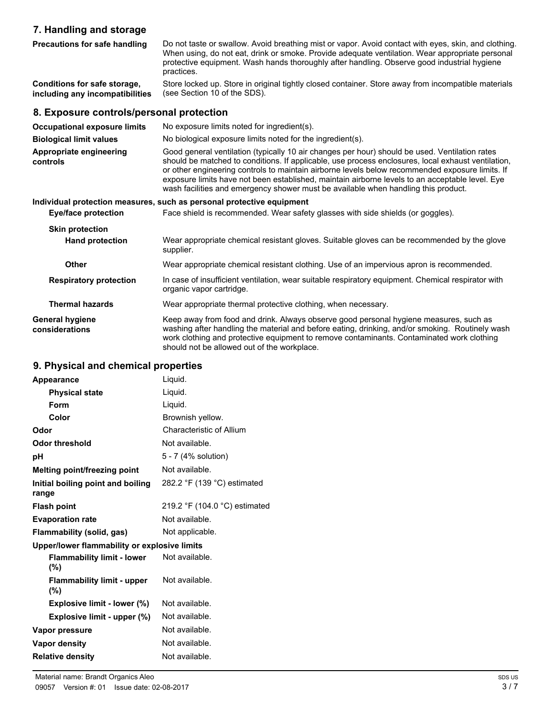# **7. Handling and storage**

| 7. Handling and storage                                         |                                                                                                                                                                                                                                                                                                                                                                                                                                                                                                  |
|-----------------------------------------------------------------|--------------------------------------------------------------------------------------------------------------------------------------------------------------------------------------------------------------------------------------------------------------------------------------------------------------------------------------------------------------------------------------------------------------------------------------------------------------------------------------------------|
| <b>Precautions for safe handling</b>                            | Do not taste or swallow. Avoid breathing mist or vapor. Avoid contact with eyes, skin, and clothing.<br>When using, do not eat, drink or smoke. Provide adequate ventilation. Wear appropriate personal<br>protective equipment. Wash hands thoroughly after handling. Observe good industrial hygiene<br>practices.                                                                                                                                                                             |
| Conditions for safe storage,<br>including any incompatibilities | Store locked up. Store in original tightly closed container. Store away from incompatible materials<br>(see Section 10 of the SDS).                                                                                                                                                                                                                                                                                                                                                              |
| 8. Exposure controls/personal protection                        |                                                                                                                                                                                                                                                                                                                                                                                                                                                                                                  |
| <b>Occupational exposure limits</b>                             | No exposure limits noted for ingredient(s).                                                                                                                                                                                                                                                                                                                                                                                                                                                      |
| <b>Biological limit values</b>                                  | No biological exposure limits noted for the ingredient(s).                                                                                                                                                                                                                                                                                                                                                                                                                                       |
| Appropriate engineering<br>controls                             | Good general ventilation (typically 10 air changes per hour) should be used. Ventilation rates<br>should be matched to conditions. If applicable, use process enclosures, local exhaust ventilation,<br>or other engineering controls to maintain airborne levels below recommended exposure limits. If<br>exposure limits have not been established, maintain airborne levels to an acceptable level. Eye<br>wash facilities and emergency shower must be available when handling this product. |
|                                                                 | Individual protection measures, such as personal protective equipment                                                                                                                                                                                                                                                                                                                                                                                                                            |
| <b>Eye/face protection</b>                                      | Face shield is recommended. Wear safety glasses with side shields (or goggles).                                                                                                                                                                                                                                                                                                                                                                                                                  |
| <b>Skin protection</b>                                          |                                                                                                                                                                                                                                                                                                                                                                                                                                                                                                  |
| <b>Hand protection</b>                                          | Wear appropriate chemical resistant gloves. Suitable gloves can be recommended by the glove<br>supplier.                                                                                                                                                                                                                                                                                                                                                                                         |
| <b>Other</b>                                                    | Wear appropriate chemical resistant clothing. Use of an impervious apron is recommended.                                                                                                                                                                                                                                                                                                                                                                                                         |
| <b>Respiratory protection</b>                                   | In case of insufficient ventilation, wear suitable respiratory equipment. Chemical respirator with<br>organic vapor cartridge.                                                                                                                                                                                                                                                                                                                                                                   |
| <b>Thermal hazards</b>                                          | Wear appropriate thermal protective clothing, when necessary.                                                                                                                                                                                                                                                                                                                                                                                                                                    |
| General hyniene                                                 | Keen away from food and drink Always observe good personal byginne measures, such as                                                                                                                                                                                                                                                                                                                                                                                                             |

Keep away from food and drink. Always observe good personal hygiene measures, such as washing after handling the material and before eating, drinking, and/or smoking. Routinely wash work clothing and protective equipment to remove contaminants. Contaminated work clothing should not be allowed out of the workplace. **General hygiene considerations**

# **9. Physical and chemical properties**

| Appearance                                   | Liquid.                       |
|----------------------------------------------|-------------------------------|
| <b>Physical state</b>                        | Liquid.                       |
| Form                                         | Liquid.                       |
| Color                                        | Brownish yellow.              |
| Odor                                         | Characteristic of Allium      |
| <b>Odor threshold</b>                        | Not available.                |
| рH                                           | 5 - 7 (4% solution)           |
| Melting point/freezing point                 | Not available.                |
| Initial boiling point and boiling<br>range   | 282.2 °F (139 °C) estimated   |
| <b>Flash point</b>                           | 219.2 °F (104.0 °C) estimated |
| <b>Evaporation rate</b>                      | Not available.                |
| Flammability (solid, gas)                    | Not applicable.               |
| Upper/lower flammability or explosive limits |                               |
| <b>Flammability limit - lower</b><br>(%)     | Not available.                |
| <b>Flammability limit - upper</b><br>(%)     | Not available.                |
| Explosive limit - lower (%)                  | Not available.                |
| Explosive limit - upper (%)                  | Not available.                |
| Vapor pressure                               | Not available.                |
| Vapor density                                | Not available.                |
| <b>Relative density</b>                      | Not available.                |
|                                              |                               |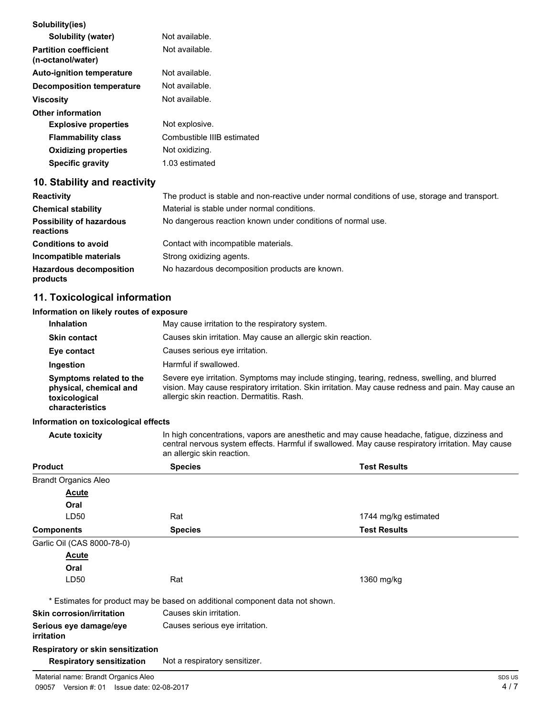| Solubility(ies)                                   |                                                                                               |
|---------------------------------------------------|-----------------------------------------------------------------------------------------------|
| Solubility (water)                                | Not available.                                                                                |
| <b>Partition coefficient</b><br>(n-octanol/water) | Not available.                                                                                |
| <b>Auto-ignition temperature</b>                  | Not available.                                                                                |
| Decomposition temperature                         | Not available.                                                                                |
| <b>Viscosity</b>                                  | Not available.                                                                                |
| <b>Other information</b>                          |                                                                                               |
| <b>Explosive properties</b>                       | Not explosive.                                                                                |
| <b>Flammability class</b>                         | Combustible IIIB estimated                                                                    |
| <b>Oxidizing properties</b>                       | Not oxidizing.                                                                                |
| <b>Specific gravity</b>                           | 1.03 estimated                                                                                |
| 10. Stability and reactivity                      |                                                                                               |
| <b>Reactivity</b>                                 | The product is stable and non-reactive under normal conditions of use, storage and transport. |
| <b>Chemical stability</b>                         | Material is stable under normal conditions.                                                   |
| <b>Possibility of hazardous</b><br>reactions      | No dangerous reaction known under conditions of normal use.                                   |

| <b>Conditions to avoid</b>     | Contact with incompatible materials.           |
|--------------------------------|------------------------------------------------|
| Incompatible materials         | Strong oxidizing agents.                       |
| <b>Hazardous decomposition</b> | No hazardous decomposition products are known. |
| products                       |                                                |

# **11. Toxicological information**

#### **Information on likely routes of exposure**

| <b>Inhalation</b>                                                                     | May cause irritation to the respiratory system.                                                                                                                                                                                                   |
|---------------------------------------------------------------------------------------|---------------------------------------------------------------------------------------------------------------------------------------------------------------------------------------------------------------------------------------------------|
| <b>Skin contact</b>                                                                   | Causes skin irritation. May cause an allergic skin reaction.                                                                                                                                                                                      |
| Eye contact                                                                           | Causes serious eye irritation.                                                                                                                                                                                                                    |
| Ingestion                                                                             | Harmful if swallowed.                                                                                                                                                                                                                             |
| Symptoms related to the<br>physical, chemical and<br>toxicological<br>characteristics | Severe eye irritation. Symptoms may include stinging, tearing, redness, swelling, and blurred<br>vision. May cause respiratory irritation. Skin irritation. May cause redness and pain. May cause an<br>allergic skin reaction. Dermatitis. Rash. |

#### **Information on toxicological effects**

Acute toxicity In high concentrations, vapors are anesthetic and may cause headache, fatigue, dizziness and central nervous system effects. Harmful if swallowed. May cause respiratory irritation. May cause an allergic skin reaction.

| <b>Product</b>                              | <b>Species</b>                                                               | <b>Test Results</b>  |
|---------------------------------------------|------------------------------------------------------------------------------|----------------------|
| <b>Brandt Organics Aleo</b>                 |                                                                              |                      |
| <b>Acute</b>                                |                                                                              |                      |
| Oral                                        |                                                                              |                      |
| LD50                                        | Rat                                                                          | 1744 mg/kg estimated |
| <b>Components</b>                           | <b>Species</b>                                                               | <b>Test Results</b>  |
| Garlic Oil (CAS 8000-78-0)                  |                                                                              |                      |
| <b>Acute</b>                                |                                                                              |                      |
| Oral                                        |                                                                              |                      |
| LD50                                        | Rat                                                                          | 1360 mg/kg           |
|                                             | * Estimates for product may be based on additional component data not shown. |                      |
| <b>Skin corrosion/irritation</b>            | Causes skin irritation.                                                      |                      |
| Serious eye damage/eye<br><i>irritation</i> | Causes serious eye irritation.                                               |                      |
| <b>Respiratory or skin sensitization</b>    |                                                                              |                      |
| <b>Respiratory sensitization</b>            | Not a respiratory sensitizer.                                                |                      |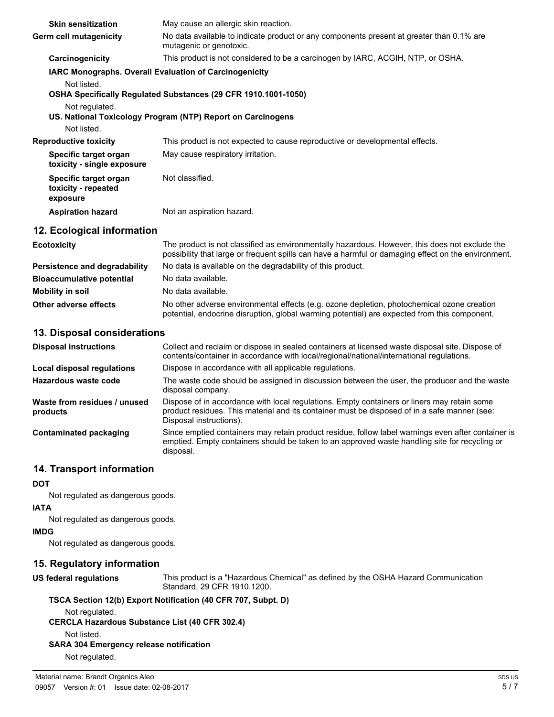| <b>Skin sensitization</b>                                | May cause an allergic skin reaction.                                                                                                                                                                  |
|----------------------------------------------------------|-------------------------------------------------------------------------------------------------------------------------------------------------------------------------------------------------------|
| Germ cell mutagenicity                                   | No data available to indicate product or any components present at greater than 0.1% are<br>mutagenic or genotoxic.                                                                                   |
| Carcinogenicity                                          | This product is not considered to be a carcinogen by IARC, ACGIH, NTP, or OSHA.                                                                                                                       |
| Not listed.<br>Not regulated.                            | <b>IARC Monographs. Overall Evaluation of Carcinogenicity</b><br>OSHA Specifically Regulated Substances (29 CFR 1910.1001-1050)                                                                       |
| Not listed.                                              | US. National Toxicology Program (NTP) Report on Carcinogens                                                                                                                                           |
| <b>Reproductive toxicity</b>                             | This product is not expected to cause reproductive or developmental effects.                                                                                                                          |
| Specific target organ<br>toxicity - single exposure      | May cause respiratory irritation.                                                                                                                                                                     |
| Specific target organ<br>toxicity - repeated<br>exposure | Not classified.                                                                                                                                                                                       |
| <b>Aspiration hazard</b>                                 | Not an aspiration hazard.                                                                                                                                                                             |
| 12. Ecological information                               |                                                                                                                                                                                                       |
| <b>Ecotoxicity</b>                                       | The product is not classified as environmentally hazardous. However, this does not exclude the<br>possibility that large or frequent spills can have a harmful or damaging effect on the environment. |
| Persistence and degradability                            | No data is available on the degradability of this product.                                                                                                                                            |
| <b>Bioaccumulative potential</b>                         | No data available.                                                                                                                                                                                    |
| <b>Mobility in soil</b>                                  | No data available.                                                                                                                                                                                    |

# **13. Disposal considerations**

| <b>Disposal instructions</b>             | Collect and reclaim or dispose in sealed containers at licensed waste disposal site. Dispose of<br>contents/container in accordance with local/regional/national/international regulations.                            |
|------------------------------------------|------------------------------------------------------------------------------------------------------------------------------------------------------------------------------------------------------------------------|
| Local disposal regulations               | Dispose in accordance with all applicable regulations.                                                                                                                                                                 |
| Hazardous waste code                     | The waste code should be assigned in discussion between the user, the producer and the waste<br>disposal company.                                                                                                      |
| Waste from residues / unused<br>products | Dispose of in accordance with local regulations. Empty containers or liners may retain some<br>product residues. This material and its container must be disposed of in a safe manner (see:<br>Disposal instructions). |
| Contaminated packaging                   | Since emptied containers may retain product residue, follow label warnings even after container is<br>emptied. Empty containers should be taken to an approved waste handling site for recycling or<br>disposal.       |

**Other adverse effects** No other adverse environmental effects (e.g. ozone depletion, photochemical ozone creation

# **14. Transport information**

**DOT**

Not regulated as dangerous goods.

#### **IATA**

Not regulated as dangerous goods.

# **IMDG**

Not regulated as dangerous goods.

# **15. Regulatory information**

**US federal regulations**

This product is a "Hazardous Chemical" as defined by the OSHA Hazard Communication Standard, 29 CFR 1910.1200.

potential, endocrine disruption, global warming potential) are expected from this component.

#### **TSCA Section 12(b) Export Notification (40 CFR 707, Subpt. D)**

Not regulated.

**CERCLA Hazardous Substance List (40 CFR 302.4)**

Not listed.

# **SARA 304 Emergency release notification**

Not regulated.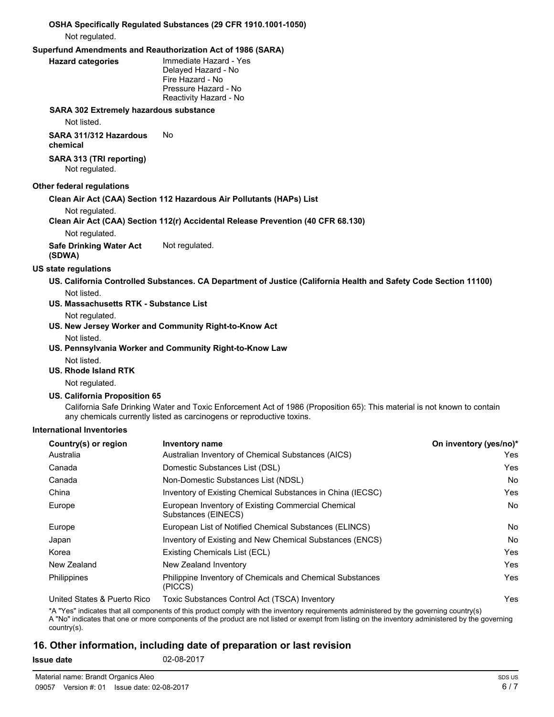# **OSHA Specifically Regulated Substances (29 CFR 1910.1001-1050)**

Not regulated.

# **Superfund Amendments and Reauthorization Act of 1986 (SARA)**

#### **Hazard categories**

Immediate Hazard - Yes Delayed Hazard - No Fire Hazard - No Pressure Hazard - No Reactivity Hazard - No

#### **SARA 302 Extremely hazardous substance**

Not listed.

**SARA 311/312 Hazardous** No **chemical**

#### **SARA 313 (TRI reporting)** Not regulated.

#### **Other federal regulations**

#### **Clean Air Act (CAA) Section 112 Hazardous Air Pollutants (HAPs) List**

Not regulated.

### **Clean Air Act (CAA) Section 112(r) Accidental Release Prevention (40 CFR 68.130)**

Not regulated.

**Safe Drinking Water Act** Not regulated.

**(SDWA)**

### **US state regulations**

- **US. California Controlled Substances. CA Department of Justice (California Health and Safety Code Section 11100)** Not listed.
- **US. Massachusetts RTK Substance List**

Not regulated.

- **US. New Jersey Worker and Community Right-to-Know Act**
	- Not listed.
- **US. Pennsylvania Worker and Community Right-to-Know Law**
	- Not listed.
- **US. Rhode Island RTK**

Not regulated.

#### **US. California Proposition 65**

California Safe Drinking Water and Toxic Enforcement Act of 1986 (Proposition 65): This material is not known to contain any chemicals currently listed as carcinogens or reproductive toxins.

#### **International Inventories**

| Country(s) or region        | <b>Inventory name</b>                                                     | On inventory (yes/no)* |
|-----------------------------|---------------------------------------------------------------------------|------------------------|
| Australia                   | Australian Inventory of Chemical Substances (AICS)                        | Yes                    |
| Canada                      | Domestic Substances List (DSL)                                            | Yes                    |
| Canada                      | Non-Domestic Substances List (NDSL)                                       | No.                    |
| China                       | Inventory of Existing Chemical Substances in China (IECSC)                | Yes                    |
| Europe                      | European Inventory of Existing Commercial Chemical<br>Substances (EINECS) | <b>No</b>              |
| Europe                      | European List of Notified Chemical Substances (ELINCS)                    | <b>No</b>              |
| Japan                       | Inventory of Existing and New Chemical Substances (ENCS)                  | <b>No</b>              |
| Korea                       | Existing Chemicals List (ECL)                                             | Yes                    |
| New Zealand                 | New Zealand Inventory                                                     | Yes                    |
| <b>Philippines</b>          | Philippine Inventory of Chemicals and Chemical Substances<br>(PICCS)      | Yes                    |
| United States & Puerto Rico | Toxic Substances Control Act (TSCA) Inventory                             | Yes                    |

\*A "Yes" indicates that all components of this product comply with the inventory requirements administered by the governing country(s) A "No" indicates that one or more components of the product are not listed or exempt from listing on the inventory administered by the governing country(s).

# **16. Other information, including date of preparation or last revision**

**Issue date** 02-08-2017